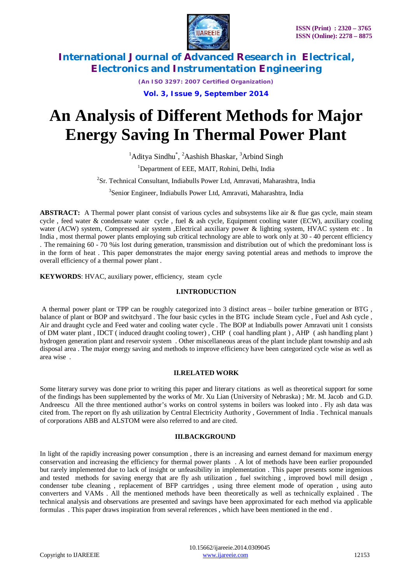

*(An ISO 3297: 2007 Certified Organization)*

**Vol. 3, Issue 9, September 2014**

# **An Analysis of Different Methods for Major Energy Saving In Thermal Power Plant**

<sup>1</sup>Aditya Sindhu<sup>\*</sup>, <sup>2</sup>Aashish Bhaskar, <sup>3</sup>Arbind Singh

<sup>1</sup>Department of EEE, MAIT, Rohini, Delhi, India

<sup>2</sup>Sr. Technical Consultant, Indiabulls Power Ltd, Amravati, Maharashtra, India

3 Senior Engineer, Indiabulls Power Ltd, Amravati, Maharashtra, India

**ABSTRACT:** A Thermal power plant consist of various cycles and subsystems like air & flue gas cycle, main steam cycle , feed water & condensate water cycle , fuel & ash cycle, Equipment cooling water (ECW), auxiliary cooling water (ACW) system, Compressed air system, Electrical auxiliary power & lighting system, HVAC system etc. In India , most thermal power plants employing sub critical technology are able to work only at 30 - 40 percent efficiency . The remaining 60 - 70 %is lost during generation, transmission and distribution out of which the predominant loss is in the form of heat . This paper demonstrates the major energy saving potential areas and methods to improve the overall efficiency of a thermal power plant .

**KEYWORDS**: HVAC, auxiliary power, efficiency, steam cycle

# **I.INTRODUCTION**

A thermal power plant or TPP can be roughly categorized into 3 distinct areas – boiler turbine generation or BTG , balance of plant or BOP and switchyard . The four basic cycles in the BTG include Steam cycle , Fuel and Ash cycle , Air and draught cycle and Feed water and cooling water cycle . The BOP at Indiabulls power Amravati unit 1 consists of DM water plant , IDCT ( induced draught cooling tower) , CHP ( coal handling plant ) , AHP ( ash handling plant ) hydrogen generation plant and reservoir system . Other miscellaneous areas of the plant include plant township and ash disposal area . The major energy saving and methods to improve efficiency have been categorized cycle wise as well as area wise .

# **II.RELATED WORK**

Some literary survey was done prior to writing this paper and literary citations as well as theoretical support for some of the findings has been supplemented by the works of Mr. Xu Lian (University of Nebraska) ; Mr. M. Jacob and G.D. Andreescu All the three mentioned author's works on control systems in boilers was looked into . Fly ash data was cited from. The report on fly ash utilization by Central Electricity Authority , Government of India . Technical manuals of corporations ABB and ALSTOM were also referred to and are cited.

# **III.BACKGROUND**

In light of the rapidly increasing power consumption , there is an increasing and earnest demand for maximum energy conservation and increasing the efficiency for thermal power plants . A lot of methods have been earlier propounded but rarely implemented due to lack of insight or unfeasibility in implementation . This paper presents some ingenious and tested methods for saving energy that are fly ash utilization , fuel switching , improved bowl mill design , condenser tube cleaning , replacement of BFP cartridges , using three element mode of operation , using auto converters and VAMs . All the mentioned methods have been theoretically as well as technically explained . The technical analysis and observations are presented and savings have been approximated for each method via applicable formulas . This paper draws inspiration from several references , which have been mentioned in the end .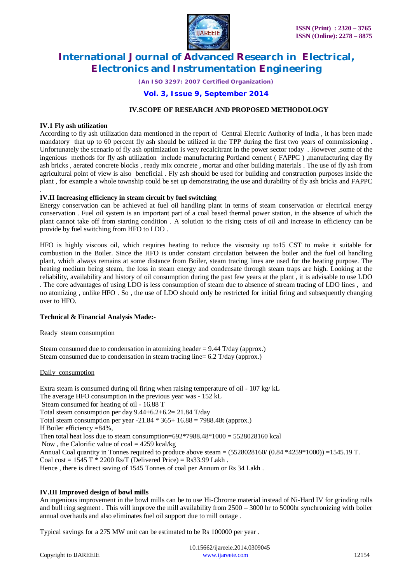

*(An ISO 3297: 2007 Certified Organization)*

# **Vol. 3, Issue 9, September 2014**

# **IV.SCOPE OF RESEARCH AND PROPOSED METHODOLOGY**

### **IV.1 Fly ash utilization**

According to fly ash utilization data mentioned in the report of Central Electric Authority of India , it has been made mandatory that up to 60 percent fly ash should be utilized in the TPP during the first two years of commissioning . Unfortunately the scenario of fly ash optimization is very recalcitrant in the power sector today . However ,some of the ingenious methods for fly ash utilization include manufacturing Portland cement ( FAPPC ) ,manufacturing clay fly ash bricks , aerated concrete blocks , ready mix concrete , mortar and other building materials . The use of fly ash from agricultural point of view is also beneficial . Fly ash should be used for building and construction purposes inside the plant , for example a whole township could be set up demonstrating the use and durability of fly ash bricks and FAPPC

#### . **IV.II Increasing efficiency in steam circuit by fuel switching**

Energy conservation can be achieved at fuel oil handling plant in terms of steam conservation or electrical energy conservation . Fuel oil system is an important part of a coal based thermal power station, in the absence of which the plant cannot take off from starting condition . A solution to the rising costs of oil and increase in efficiency can be provide by fuel switching from HFO to LDO .

HFO is highly viscous oil, which requires heating to reduce the viscosity up to15 CST to make it suitable for combustion in the Boiler. Since the HFO is under constant circulation between the boiler and the fuel oil handling plant, which always remains at some distance from Boiler, steam tracing lines are used for the heating purpose. The heating medium being steam, the loss in steam energy and condensate through steam traps are high. Looking at the reliability, availability and history of oil consumption during the past few years at the plant , it is advisable to use LDO . The core advantages of using LDO is less consumption of steam due to absence of stream tracing of LDO lines , and no atomizing , unlike HFO . So , the use of LDO should only be restricted for initial firing and subsequently changing over to HFO.

# **Technical & Financial Analysis Made:-**

#### Ready steam consumption

Steam consumed due to condensation in atomizing header  $= 9.44$  T/day (approx.) Steam consumed due to condensation in steam tracing line= 6.2 T/day (approx.)

#### Daily consumption

Extra steam is consumed during oil firing when raising temperature of oil - 107 kg/ kL The average HFO consumption in the previous year was - 152 kL Steam consumed for heating of oil - 16.88 T Total steam consumption per day 9.44+6.2+6.2= 21.84 T/day Total steam consumption per year  $-21.84 * 365 + 16.88 = 7988.48t$  (approx.) If Boiler efficiency =84%, Then total heat loss due to steam consumption= $692*7988.48*1000 = 5528028160$  kcal Now, the Calorific value of coal  $= 4259$  kcal/kg Annual Coal quantity in Tonnes required to produce above steam =  $(5528028160/ (0.84 *4259 *1000)) = 1545.19$  T. Coal cost =  $1545$  T  $*$  2200 Rs/T (Delivered Price) = Rs33.99 Lakh. Hence, there is direct saving of 1545 Tonnes of coal per Annum or Rs 34 Lakh.

# **IV.III Improved design of bowl mills**

An ingenious improvement in the bowl mills can be to use Hi-Chrome material instead of Ni-Hard IV for grinding rolls and bull ring segment . This will improve the mill availability from 2500 – 3000 hr to 5000hr synchronizing with boiler annual overhauls and also eliminates fuel oil support due to mill outage .

Typical savings for a 275 MW unit can be estimated to be Rs 100000 per year .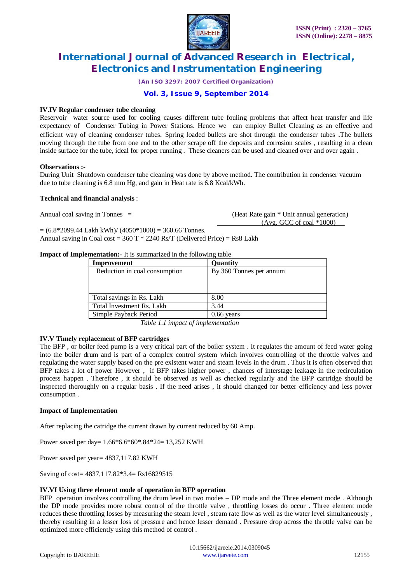

*(An ISO 3297: 2007 Certified Organization)*

# **Vol. 3, Issue 9, September 2014**

### **IV.IV Regular condenser tube cleaning**

Reservoir water source used for cooling causes different tube fouling problems that affect heat transfer and life expectancy of Condenser Tubing in Power Stations. Hence we can employ Bullet Cleaning as an effective and efficient way of cleaning condenser tubes. Spring loaded bullets are shot through the condenser tubes .The bullets moving through the tube from one end to the other scrape off the deposits and corrosion scales , resulting in a clean inside surface for the tube, ideal for proper running . These cleaners can be used and cleaned over and over again .

#### **Observations :-**

During Unit Shutdown condenser tube cleaning was done by above method. The contribution in condenser vacuum due to tube cleaning is 6.8 mm Hg, and gain in Heat rate is 6.8 Kcal/kWh.

### **Technical and financial analysis** :

Annual coal saving in Tonnes = (Heat Rate gain \* Unit annual generation) (Avg. GCC of coal \*1000)

 $= (6.8*2099.44$  Lakh kWh $)/(4050*1000) = 360.66$  Tonnes.

Annual saving in Coal cost =  $360$  T  $*$  2240 Rs/T (Delivered Price) = Rs8 Lakh

#### **Impact of Implementation:** It is summarized in the following table

| Improvement                   | <b>Ouantity</b>         |  |
|-------------------------------|-------------------------|--|
| Reduction in coal consumption | By 360 Tonnes per annum |  |
|                               |                         |  |
|                               |                         |  |
| Total savings in Rs. Lakh     | 8.00                    |  |
| Total Investment Rs. Lakh     | 3.44                    |  |
| Simple Payback Period         | $0.66$ years            |  |

*Table 1.1 impact of implementation* 

#### **IV.V Timely replacement of BFP cartridges**

The BFP , or boiler feed pump is a very critical part of the boiler system . It regulates the amount of feed water going into the boiler drum and is part of a complex control system which involves controlling of the throttle valves and regulating the water supply based on the pre existent water and steam levels in the drum . Thus it is often observed that BFP takes a lot of power However , if BFP takes higher power , chances of interstage leakage in the recirculation process happen . Therefore , it should be observed as well as checked regularly and the BFP cartridge should be inspected thoroughly on a regular basis . If the need arises , it should changed for better efficiency and less power consumption .

# **Impact of Implementation**

After replacing the catridge the current drawn by current reduced by 60 Amp.

Power saved per day= 1.66\*6.6\*60\*.84\*24= 13,252 KWH

Power saved per year= 4837,117.82 KWH

Saving of cost= 4837,117.82\*3.4= Rs16829515

# **IV.VI Using three element mode of operation in BFP operation**

BFP operation involves controlling the drum level in two modes – DP mode and the Three element mode . Although the DP mode provides more robust control of the throttle valve , throttling losses do occur . Three element mode reduces these throttling losses by measuring the steam level , steam rate flow as well as the water level simultaneously , thereby resulting in a lesser loss of pressure and hence lesser demand . Pressure drop across the throttle valve can be optimized more efficiently using this method of control .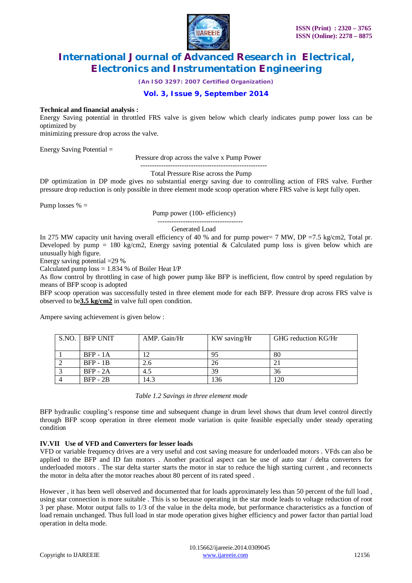

*(An ISO 3297: 2007 Certified Organization)*

# **Vol. 3, Issue 9, September 2014**

### **Technical and financial analysis :**

Energy Saving potential in throttled FRS valve is given below which clearly indicates pump power loss can be optimized by

minimizing pressure drop across the valve.

Energy Saving Potential =

Pressure drop across the valve x Pump Power

-------------------------------------------------------

Total Pressure Rise across the Pump

DP optimization in DP mode gives no substantial energy saving due to controlling action of FRS valve. Further pressure drop reduction is only possible in three element mode scoop operation where FRS valve is kept fully open.

Pump losses  $% =$ 

Pump power (100- efficiency)

#### Generated Load

In 275 MW capacity unit having overall efficiency of 40 % and for pump power= 7 MW, DP =7.5 kg/cm2, Total pr. Developed by pump = 180 kg/cm2, Energy saving potential & Calculated pump loss is given below which are unusually high figure.

-------------------------------------

Energy saving potential =29 %

Calculated pump  $loss = 1.834$  % of Boiler Heat I/P

As flow control by throttling in case of high power pump like BFP is inefficient, flow control by speed regulation by means of BFP scoop is adopted

BFP scoop operation was successfully tested in three element mode for each BFP. Pressure drop across FRS valve is observed to be**3.5 kg/cm2** in valve full open condition.

Ampere saving achievement is given below :

| S.NO. BFP UNIT  | AMP. Gain/Hr | KW saving/Hr | GHG reduction KG/Hr |
|-----------------|--------------|--------------|---------------------|
|                 |              |              |                     |
| <b>BFP</b> - 1A |              | 95           | 80                  |
| $BFP - 1B$      | 2.6          | 26           |                     |
| $BFP - 2A$      | 4.5          | 39           | 36                  |
| $BFP - 2B$      | 14.3         | 136          | l 20                |

*Table 1.2 Savings in three element mode* 

BFP hydraulic coupling's response time and subsequent change in drum level shows that drum level control directly through BFP scoop operation in three element mode variation is quite feasible especially under steady operating condition

# **IV.VII Use of VFD and Converters for lesser loads**

VFD or variable frequency drives are a very useful and cost saving measure for underloaded motors . VFds can also be applied to the BFP and ID fan motors . Another practical aspect can be use of auto star / delta converters for underloaded motors . The star delta starter starts the motor in star to reduce the high starting current , and reconnects the motor in delta after the motor reaches about 80 percent of its rated speed .

However , it has been well observed and documented that for loads approximately less than 50 percent of the full load , using star connection is more suitable . This is so because operating in the star mode leads to voltage reduction of root 3 per phase. Motor output falls to 1/3 of the value in the delta mode, but performance characteristics as a function of load remain unchanged. Thus full load in star mode operation gives higher efficiency and power factor than partial load operation in delta mode.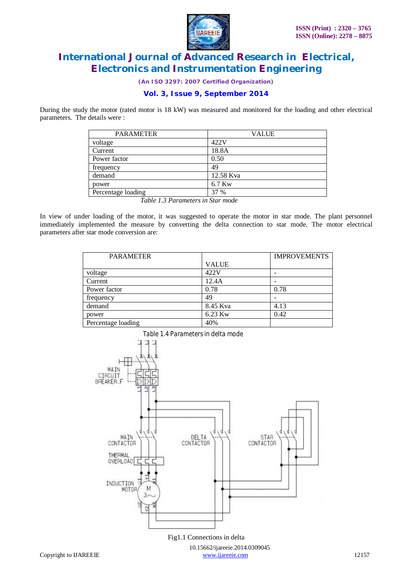

*(An ISO 3297: 2007 Certified Organization)*

# **Vol. 3, Issue 9, September 2014**

During the study the motor (rated motor is 18 kW) was measured and monitored for the loading and other electrical parameters. The details were :

| <b>PARAMETER</b>   | <b>VALUE</b> |
|--------------------|--------------|
| voltage            | 422V         |
| Current            | 18.8A        |
| Power factor       | 0.50         |
| frequency          | 49           |
| demand             | 12.58 Kva    |
| power              | 6.7 Kw       |
| Percentage loading | 37 %         |

*Table 1.3 Parameters in Star mode*

In view of under loading of the motor, it was suggested to operate the motor in star mode. The plant personnel immediately implemented the measure by converting the delta connection to star mode. The motor electrical parameters after star mode conversion are:

| <b>PARAMETER</b>   |              | <b>IMPROVEMENTS</b> |
|--------------------|--------------|---------------------|
|                    | <b>VALUE</b> |                     |
| voltage            | 422V         |                     |
| Current            | 12.4A        |                     |
| Power factor       | 0.78         | 0.78                |
| frequency          | 49           |                     |
| demand             | 8.45 Kva     | 4.13                |
| power              | 6.23 Kw      | 0.42                |
| Percentage loading | 40%          |                     |



 10.15662/ijareeie.2014.0309045 Copyright to IJAREEIE www.ijareeie.com www.ijareeie.com 12157 Fig1.1 Connections in delta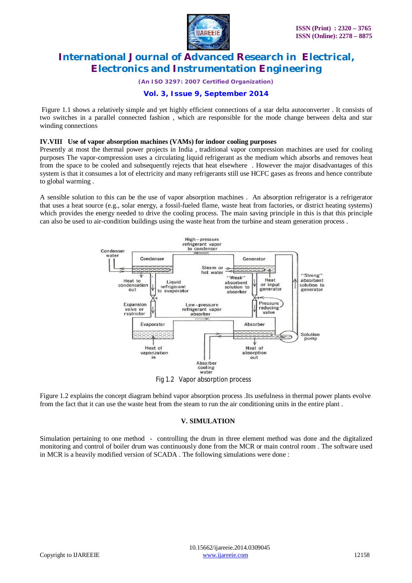

*(An ISO 3297: 2007 Certified Organization)*

# **Vol. 3, Issue 9, September 2014**

Figure 1.1 shows a relatively simple and yet highly efficient connections of a star delta autoconverter . It consists of two switches in a parallel connected fashion , which are responsible for the mode change between delta and star winding connections

#### **IV.VIII Use of vapor absorption machines (VAMs) for indoor cooling purposes**

Presently at most the thermal power projects in India , traditional vapor compression machines are used for cooling purposes The vapor-compression uses a circulating liquid refrigerant as the medium which absorbs and removes heat from the space to be cooled and subsequently rejects that heat elsewhere . However the major disadvantages of this system is that it consumes a lot of electricity and many refrigerants still use HCFC gases as freons and hence contribute to global warming .

A sensible solution to this can be the use of vapor absorption machines . An absorption refrigerator is a refrigerator that uses a heat source (e.g., solar energy, a fossil-fueled flame, waste heat from factories, or district heating systems) which provides the energy needed to drive the cooling process. The main saving principle in this is that this principle can also be used to air-condition buildings using the waste heat from the turbine and steam generation process .



Fig 1.2 Vapor absorption process

Figure 1.2 explains the concept diagram behind vapor absorption process .Its usefulness in thermal power plants evolve from the fact that it can use the waste heat from the steam to run the air conditioning units in the entire plant .

# **V. SIMULATION**

Simulation pertaining to one method - controlling the drum in three element method was done and the digitalized monitoring and control of boiler drum was continuously done from the MCR or main control room . The software used in MCR is a heavily modified version of SCADA . The following simulations were done :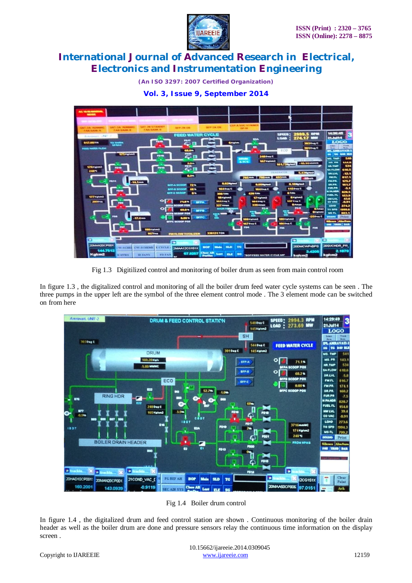

*(An ISO 3297: 2007 Certified Organization)*



**Vol. 3, Issue 9, September 2014**

Fig 1.3Digitilized control and monitoring of boiler drum as seen from main control room

In figure 1.3 , the digitalized control and monitoring of all the boiler drum feed water cycle systems can be seen . The three pumps in the upper left are the symbol of the three element control mode . The 3 element mode can be switched on from here



Fig 1.4 Boiler drum control

In figure 1.4 , the digitalized drum and feed control station are shown . Continuous monitoring of the boiler drain header as well as the boiler drum are done and pressure sensors relay the continuous time information on the display screen .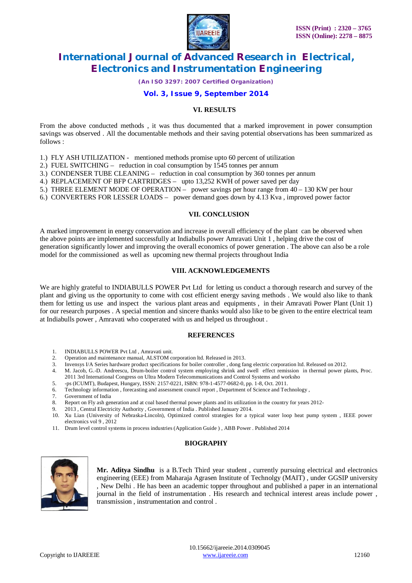

*(An ISO 3297: 2007 Certified Organization)*

# **Vol. 3, Issue 9, September 2014**

# **VI. RESULTS**

From the above conducted methods , it was thus documented that a marked improvement in power consumption savings was observed . All the documentable methods and their saving potential observations has been summarized as follows :

1.) FLY ASH UTILIZATION - mentioned methods promise upto 60 percent of utilization

2.) FUEL SWITCHING – reduction in coal consumption by 1545 tonnes per annum

3.) CONDENSER TUBE CLEANING – reduction in coal consumption by 360 tonnes per annum

4.) REPLACEMENT OF BFP CARTRIDGES – upto 13,252 KWH of power saved per day

5.) THREE ELEMENT MODE OF OPERATION – power savings per hour range from 40 – 130 KW per hour

6.) CONVERTERS FOR LESSER LOADS – power demand goes down by 4.13 Kva , improved power factor

#### **VII. CONCLUSION**

A marked improvement in energy conservation and increase in overall efficiency of the plant can be observed when the above points are implemented successfully at Indiabulls power Amravati Unit 1 , helping drive the cost of generation significantly lower and improving the overall economics of power generation . The above can also be a role model for the commissioned as well as upcoming new thermal projects throughout India

#### **VIII. ACKNOWLEDGEMENTS**

We are highly grateful to INDIABULLS POWER Pvt Ltd for letting us conduct a thorough research and survey of the plant and giving us the opportunity to come with cost efficient energy saving methods . We would also like to thank them for letting us use and inspect the various plant areas and equipments , in their Amravati Power Plant (Unit 1) for our research purposes . A special mention and sincere thanks would also like to be given to the entire electrical team at Indiabulls power , Amravati who cooperated with us and helped us throughout .

# **REFERENCES**

- 1. INDIABULLS POWER Pvt Ltd , Amravati unit*.*
- 2. Operation and maintenance manual, ALSTOM corporation ltd. Released in 2013.
- 3. Invensys I/A Series hardware product specifications for boiler controller , dong fang electric corporation ltd. Released on 2012.
- 4. M. Jacob, G.-D. Andreescu, Drum-boiler control system employing shrink and swell effect remission in thermal power plants, Proc.
- 2011 3rd International Congress on Ultra Modern Telecommunications and Control Systems and worksho
- 5. -ps (ICUMT), Budapest, Hungary, ISSN: 2157-0221, ISBN: 978-1-4577-0682-0, pp. 1-8, Oct. 2011.
- 6. Technology information , forecasting and assessment council report , Department of Science and Technology ,

Government of India

- 8. Report on Fly ash generation and at coal based thermal power plants and its utilization in the country for years 2012-
- 9. 2013 , Central Electricity Authority , Government of India . Published January 2014.
- 10. Xu Lian (University of Nebraska-Lincoln), Optimized control strategies for a typical water loop heat pump system , IEEE power electronics vol 9 , 2012
- 11. Drum level control systems in process industries (Application Guide ) , ABB Power . Published 2014

# **BIOGRAPHY**



Mr. Aditya Sindhu is a B.Tech Third year student, currently pursuing electrical and electronics engineering (EEE) from Maharaja Agrasen Institute of Technolgy (MAIT) , under GGSIP university , New Delhi . He has been an academic topper throughout and published a paper in an international journal in the field of instrumentation . His research and technical interest areas include power , transmission , instrumentation and control .